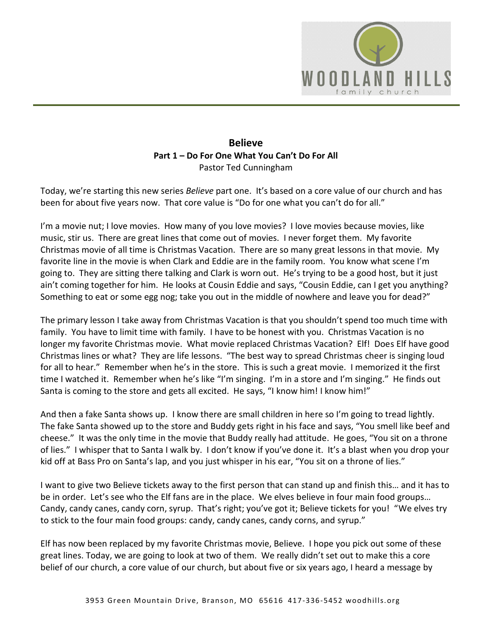

## **Believe Part 1 – Do For One What You Can't Do For All** Pastor Ted Cunningham

Today, we're starting this new series *Believe* part one. It's based on a core value of our church and has been for about five years now. That core value is "Do for one what you can't do for all."

I'm a movie nut; I love movies. How many of you love movies? I love movies because movies, like music, stir us. There are great lines that come out of movies. I never forget them. My favorite Christmas movie of all time is Christmas Vacation. There are so many great lessons in that movie. My favorite line in the movie is when Clark and Eddie are in the family room. You know what scene I'm going to. They are sitting there talking and Clark is worn out. He's trying to be a good host, but it just ain't coming together for him. He looks at Cousin Eddie and says, "Cousin Eddie, can I get you anything? Something to eat or some egg nog; take you out in the middle of nowhere and leave you for dead?"

The primary lesson I take away from Christmas Vacation is that you shouldn't spend too much time with family. You have to limit time with family. I have to be honest with you. Christmas Vacation is no longer my favorite Christmas movie. What movie replaced Christmas Vacation? Elf! Does Elf have good Christmas lines or what? They are life lessons. "The best way to spread Christmas cheer is singing loud for all to hear." Remember when he's in the store. This is such a great movie. I memorized it the first time I watched it. Remember when he's like "I'm singing. I'm in a store and I'm singing." He finds out Santa is coming to the store and gets all excited. He says, "I know him! I know him!"

And then a fake Santa shows up. I know there are small children in here so I'm going to tread lightly. The fake Santa showed up to the store and Buddy gets right in his face and says, "You smell like beef and cheese." It was the only time in the movie that Buddy really had attitude. He goes, "You sit on a throne of lies." I whisper that to Santa I walk by. I don't know if you've done it. It's a blast when you drop your kid off at Bass Pro on Santa's lap, and you just whisper in his ear, "You sit on a throne of lies."

I want to give two Believe tickets away to the first person that can stand up and finish this… and it has to be in order. Let's see who the Elf fans are in the place. We elves believe in four main food groups… Candy, candy canes, candy corn, syrup. That's right; you've got it; Believe tickets for you! "We elves try to stick to the four main food groups: candy, candy canes, candy corns, and syrup."

Elf has now been replaced by my favorite Christmas movie, Believe. I hope you pick out some of these great lines. Today, we are going to look at two of them. We really didn't set out to make this a core belief of our church, a core value of our church, but about five or six years ago, I heard a message by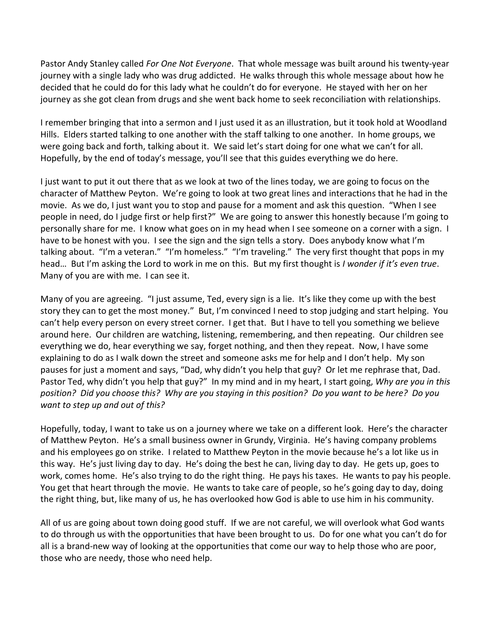Pastor Andy Stanley called *For One Not Everyone*. That whole message was built around his twenty-year journey with a single lady who was drug addicted. He walks through this whole message about how he decided that he could do for this lady what he couldn't do for everyone. He stayed with her on her journey as she got clean from drugs and she went back home to seek reconciliation with relationships.

I remember bringing that into a sermon and I just used it as an illustration, but it took hold at Woodland Hills. Elders started talking to one another with the staff talking to one another. In home groups, we were going back and forth, talking about it. We said let's start doing for one what we can't for all. Hopefully, by the end of today's message, you'll see that this guides everything we do here.

I just want to put it out there that as we look at two of the lines today, we are going to focus on the character of Matthew Peyton. We're going to look at two great lines and interactions that he had in the movie. As we do, I just want you to stop and pause for a moment and ask this question. "When I see people in need, do I judge first or help first?" We are going to answer this honestly because I'm going to personally share for me. I know what goes on in my head when I see someone on a corner with a sign. I have to be honest with you. I see the sign and the sign tells a story. Does anybody know what I'm talking about. "I'm a veteran." "I'm homeless." "I'm traveling." The very first thought that pops in my head… But I'm asking the Lord to work in me on this. But my first thought is *I wonder if it's even true*. Many of you are with me. I can see it.

Many of you are agreeing. "I just assume, Ted, every sign is a lie. It's like they come up with the best story they can to get the most money." But, I'm convinced I need to stop judging and start helping. You can't help every person on every street corner. I get that. But I have to tell you something we believe around here. Our children are watching, listening, remembering, and then repeating. Our children see everything we do, hear everything we say, forget nothing, and then they repeat. Now, I have some explaining to do as I walk down the street and someone asks me for help and I don't help. My son pauses for just a moment and says, "Dad, why didn't you help that guy? Or let me rephrase that, Dad. Pastor Ted, why didn't you help that guy?" In my mind and in my heart, I start going, *Why are you in this position? Did you choose this? Why are you staying in this position? Do you want to be here? Do you want to step up and out of this?* 

Hopefully, today, I want to take us on a journey where we take on a different look. Here's the character of Matthew Peyton. He's a small business owner in Grundy, Virginia. He's having company problems and his employees go on strike. I related to Matthew Peyton in the movie because he's a lot like us in this way. He's just living day to day. He's doing the best he can, living day to day. He gets up, goes to work, comes home. He's also trying to do the right thing. He pays his taxes. He wants to pay his people. You get that heart through the movie. He wants to take care of people, so he's going day to day, doing the right thing, but, like many of us, he has overlooked how God is able to use him in his community.

All of us are going about town doing good stuff. If we are not careful, we will overlook what God wants to do through us with the opportunities that have been brought to us. Do for one what you can't do for all is a brand-new way of looking at the opportunities that come our way to help those who are poor, those who are needy, those who need help.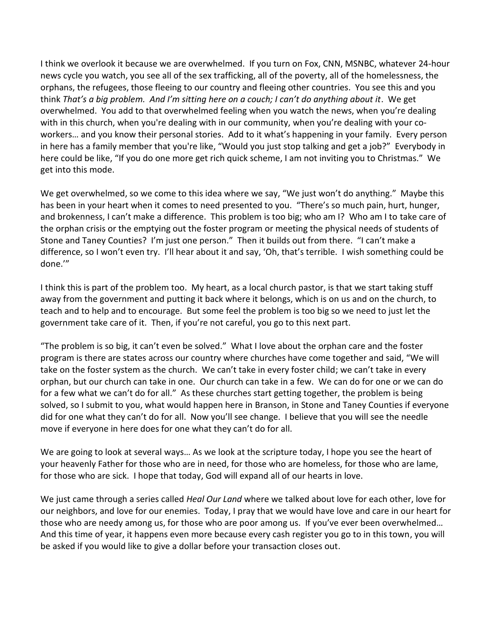I think we overlook it because we are overwhelmed. If you turn on Fox, CNN, MSNBC, whatever 24-hour news cycle you watch, you see all of the sex trafficking, all of the poverty, all of the homelessness, the orphans, the refugees, those fleeing to our country and fleeing other countries. You see this and you think *That's a big problem. And I'm sitting here on a couch; I can't do anything about it*. We get overwhelmed. You add to that overwhelmed feeling when you watch the news, when you're dealing with in this church, when you're dealing with in our community, when you're dealing with your coworkers… and you know their personal stories. Add to it what's happening in your family. Every person in here has a family member that you're like, "Would you just stop talking and get a job?" Everybody in here could be like, "If you do one more get rich quick scheme, I am not inviting you to Christmas." We get into this mode.

We get overwhelmed, so we come to this idea where we say, "We just won't do anything." Maybe this has been in your heart when it comes to need presented to you. "There's so much pain, hurt, hunger, and brokenness, I can't make a difference. This problem is too big; who am I? Who am I to take care of the orphan crisis or the emptying out the foster program or meeting the physical needs of students of Stone and Taney Counties? I'm just one person." Then it builds out from there. "I can't make a difference, so I won't even try. I'll hear about it and say, 'Oh, that's terrible. I wish something could be done.'"

I think this is part of the problem too. My heart, as a local church pastor, is that we start taking stuff away from the government and putting it back where it belongs, which is on us and on the church, to teach and to help and to encourage. But some feel the problem is too big so we need to just let the government take care of it. Then, if you're not careful, you go to this next part.

"The problem is so big, it can't even be solved." What I love about the orphan care and the foster program is there are states across our country where churches have come together and said, "We will take on the foster system as the church. We can't take in every foster child; we can't take in every orphan, but our church can take in one. Our church can take in a few. We can do for one or we can do for a few what we can't do for all." As these churches start getting together, the problem is being solved, so I submit to you, what would happen here in Branson, in Stone and Taney Counties if everyone did for one what they can't do for all. Now you'll see change. I believe that you will see the needle move if everyone in here does for one what they can't do for all.

We are going to look at several ways… As we look at the scripture today, I hope you see the heart of your heavenly Father for those who are in need, for those who are homeless, for those who are lame, for those who are sick. I hope that today, God will expand all of our hearts in love.

We just came through a series called *Heal Our Land* where we talked about love for each other, love for our neighbors, and love for our enemies. Today, I pray that we would have love and care in our heart for those who are needy among us, for those who are poor among us. If you've ever been overwhelmed… And this time of year, it happens even more because every cash register you go to in this town, you will be asked if you would like to give a dollar before your transaction closes out.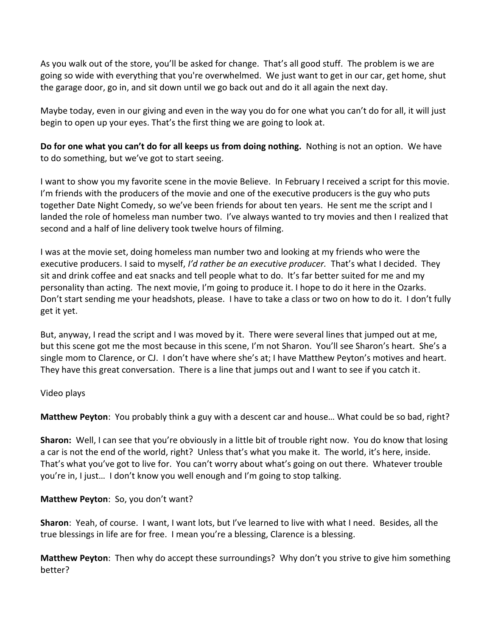As you walk out of the store, you'll be asked for change. That's all good stuff. The problem is we are going so wide with everything that you're overwhelmed. We just want to get in our car, get home, shut the garage door, go in, and sit down until we go back out and do it all again the next day.

Maybe today, even in our giving and even in the way you do for one what you can't do for all, it will just begin to open up your eyes. That's the first thing we are going to look at.

**Do for one what you can't do for all keeps us from doing nothing.** Nothing is not an option. We have to do something, but we've got to start seeing.

I want to show you my favorite scene in the movie Believe. In February I received a script for this movie. I'm friends with the producers of the movie and one of the executive producers is the guy who puts together Date Night Comedy, so we've been friends for about ten years. He sent me the script and I landed the role of homeless man number two. I've always wanted to try movies and then I realized that second and a half of line delivery took twelve hours of filming.

I was at the movie set, doing homeless man number two and looking at my friends who were the executive producers. I said to myself, *I'd rather be an executive producer.* That's what I decided. They sit and drink coffee and eat snacks and tell people what to do. It's far better suited for me and my personality than acting. The next movie, I'm going to produce it. I hope to do it here in the Ozarks. Don't start sending me your headshots, please. I have to take a class or two on how to do it. I don't fully get it yet.

But, anyway, I read the script and I was moved by it. There were several lines that jumped out at me, but this scene got me the most because in this scene, I'm not Sharon. You'll see Sharon's heart. She's a single mom to Clarence, or CJ. I don't have where she's at; I have Matthew Peyton's motives and heart. They have this great conversation. There is a line that jumps out and I want to see if you catch it.

## Video plays

**Matthew Peyton**: You probably think a guy with a descent car and house… What could be so bad, right?

**Sharon:** Well, I can see that you're obviously in a little bit of trouble right now. You do know that losing a car is not the end of the world, right? Unless that's what you make it. The world, it's here, inside. That's what you've got to live for. You can't worry about what's going on out there. Whatever trouble you're in, I just… I don't know you well enough and I'm going to stop talking.

## **Matthew Peyton**: So, you don't want?

**Sharon**: Yeah, of course. I want, I want lots, but I've learned to live with what I need. Besides, all the true blessings in life are for free. I mean you're a blessing, Clarence is a blessing.

**Matthew Peyton**: Then why do accept these surroundings? Why don't you strive to give him something better?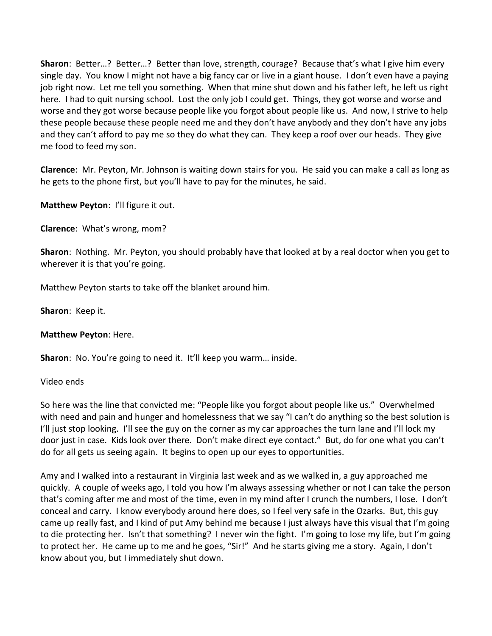**Sharon**: Better…? Better…? Better than love, strength, courage? Because that's what I give him every single day. You know I might not have a big fancy car or live in a giant house. I don't even have a paying job right now. Let me tell you something. When that mine shut down and his father left, he left us right here. I had to quit nursing school. Lost the only job I could get. Things, they got worse and worse and worse and they got worse because people like you forgot about people like us. And now, I strive to help these people because these people need me and they don't have anybody and they don't have any jobs and they can't afford to pay me so they do what they can. They keep a roof over our heads. They give me food to feed my son.

**Clarence**: Mr. Peyton, Mr. Johnson is waiting down stairs for you. He said you can make a call as long as he gets to the phone first, but you'll have to pay for the minutes, he said.

**Matthew Peyton**: I'll figure it out.

**Clarence**: What's wrong, mom?

**Sharon**: Nothing. Mr. Peyton, you should probably have that looked at by a real doctor when you get to wherever it is that you're going.

Matthew Peyton starts to take off the blanket around him.

**Sharon**: Keep it.

**Matthew Peyton**: Here.

**Sharon**: No. You're going to need it. It'll keep you warm… inside.

Video ends

So here was the line that convicted me: "People like you forgot about people like us." Overwhelmed with need and pain and hunger and homelessness that we say "I can't do anything so the best solution is I'll just stop looking. I'll see the guy on the corner as my car approaches the turn lane and I'll lock my door just in case. Kids look over there. Don't make direct eye contact." But, do for one what you can't do for all gets us seeing again. It begins to open up our eyes to opportunities.

Amy and I walked into a restaurant in Virginia last week and as we walked in, a guy approached me quickly. A couple of weeks ago, I told you how I'm always assessing whether or not I can take the person that's coming after me and most of the time, even in my mind after I crunch the numbers, I lose. I don't conceal and carry. I know everybody around here does, so I feel very safe in the Ozarks. But, this guy came up really fast, and I kind of put Amy behind me because I just always have this visual that I'm going to die protecting her. Isn't that something? I never win the fight. I'm going to lose my life, but I'm going to protect her. He came up to me and he goes, "Sir!" And he starts giving me a story. Again, I don't know about you, but I immediately shut down.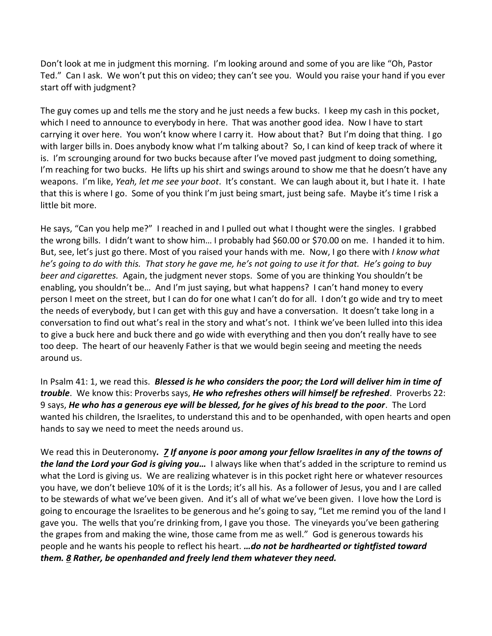Don't look at me in judgment this morning. I'm looking around and some of you are like "Oh, Pastor Ted." Can I ask. We won't put this on video; they can't see you. Would you raise your hand if you ever start off with judgment?

The guy comes up and tells me the story and he just needs a few bucks. I keep my cash in this pocket, which I need to announce to everybody in here. That was another good idea. Now I have to start carrying it over here. You won't know where I carry it. How about that? But I'm doing that thing. I go with larger bills in. Does anybody know what I'm talking about? So, I can kind of keep track of where it is. I'm scrounging around for two bucks because after I've moved past judgment to doing something, I'm reaching for two bucks. He lifts up his shirt and swings around to show me that he doesn't have any weapons. I'm like, *Yeah, let me see your boot*. It's constant. We can laugh about it, but I hate it. I hate that this is where I go. Some of you think I'm just being smart, just being safe. Maybe it's time I risk a little bit more.

He says, "Can you help me?" I reached in and I pulled out what I thought were the singles. I grabbed the wrong bills. I didn't want to show him… I probably had \$60.00 or \$70.00 on me. I handed it to him. But, see, let's just go there. Most of you raised your hands with me. Now, I go there with *I know what he's going to do with this. That story he gave me, he's not going to use it for that. He's going to buy beer and cigarettes.* Again, the judgment never stops. Some of you are thinking You shouldn't be enabling, you shouldn't be… And I'm just saying, but what happens? I can't hand money to every person I meet on the street, but I can do for one what I can't do for all. I don't go wide and try to meet the needs of everybody, but I can get with this guy and have a conversation. It doesn't take long in a conversation to find out what's real in the story and what's not. I think we've been lulled into this idea to give a buck here and buck there and go wide with everything and then you don't really have to see too deep. The heart of our heavenly Father is that we would begin seeing and meeting the needs around us.

In Psalm 41: 1, we read this. *Blessed is he who considers the poor; the Lord will deliver him in time of trouble*. We know this: Proverbs says, *He who refreshes others will himself be refreshed*. Proverbs 22: 9 says, *He who has a generous eye will be blessed, for he gives of his bread to the poor*. The Lord wanted his children, the Israelites, to understand this and to be openhanded, with open hearts and open hands to say we need to meet the needs around us.

We read this in Deuteronomy*. [7](http://www.studylight.org/desk/?q=de%2015:7&t1=en_niv&sr=1) If anyone is poor among your fellow Israelites in any of the towns of the land the Lord your God is giving you…* I always like when that's added in the scripture to remind us what the Lord is giving us. We are realizing whatever is in this pocket right here or whatever resources you have, we don't believe 10% of it is the Lords; it's all his. As a follower of Jesus, you and I are called to be stewards of what we've been given. And it's all of what we've been given. I love how the Lord is going to encourage the Israelites to be generous and he's going to say, "Let me remind you of the land I gave you. The wells that you're drinking from, I gave you those. The vineyards you've been gathering the grapes from and making the wine, those came from me as well." God is generous towards his people and he wants his people to reflect his heart. *…do not be hardhearted or tightfisted toward them. [8](http://www.studylight.org/desk/?q=de%2015:8&t1=en_niv&sr=1) Rather, be openhanded and freely lend them whatever they need.*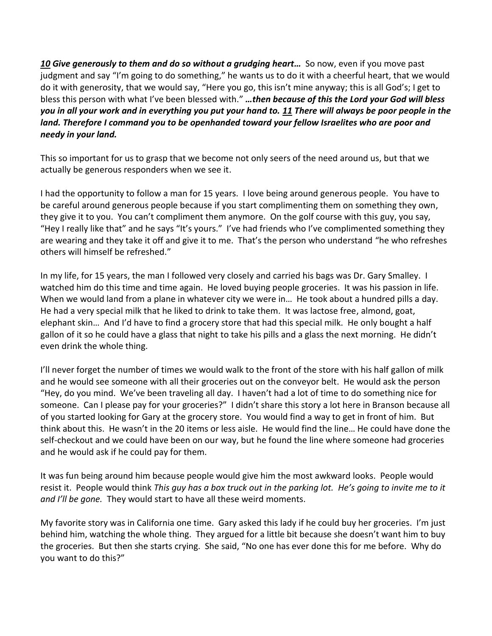**[10](http://www.studylight.org/desk/?q=de%2015:10&t1=en_niv&sr=1) Give generously to them and do so without a grudging heart...** So now, even if you move past judgment and say "I'm going to do something," he wants us to do it with a cheerful heart, that we would do it with generosity, that we would say, "Here you go, this isn't mine anyway; this is all God's; I get to bless this person with what I've been blessed with." *…then because of this the Lord your God will bless you in all your work and in everything you put your hand to. [11](http://www.studylight.org/desk/?q=de%2015:11&t1=en_niv&sr=1) There will always be poor people in the land. Therefore I command you to be openhanded toward your fellow Israelites who are poor and needy in your land.*

This so important for us to grasp that we become not only seers of the need around us, but that we actually be generous responders when we see it.

I had the opportunity to follow a man for 15 years. I love being around generous people. You have to be careful around generous people because if you start complimenting them on something they own, they give it to you. You can't compliment them anymore. On the golf course with this guy, you say, "Hey I really like that" and he says "It's yours." I've had friends who I've complimented something they are wearing and they take it off and give it to me. That's the person who understand "he who refreshes others will himself be refreshed."

In my life, for 15 years, the man I followed very closely and carried his bags was Dr. Gary Smalley. I watched him do this time and time again. He loved buying people groceries. It was his passion in life. When we would land from a plane in whatever city we were in... He took about a hundred pills a day. He had a very special milk that he liked to drink to take them. It was lactose free, almond, goat, elephant skin… And I'd have to find a grocery store that had this special milk. He only bought a half gallon of it so he could have a glass that night to take his pills and a glass the next morning. He didn't even drink the whole thing.

I'll never forget the number of times we would walk to the front of the store with his half gallon of milk and he would see someone with all their groceries out on the conveyor belt. He would ask the person "Hey, do you mind. We've been traveling all day. I haven't had a lot of time to do something nice for someone. Can I please pay for your groceries?" I didn't share this story a lot here in Branson because all of you started looking for Gary at the grocery store. You would find a way to get in front of him. But think about this. He wasn't in the 20 items or less aisle. He would find the line… He could have done the self-checkout and we could have been on our way, but he found the line where someone had groceries and he would ask if he could pay for them.

It was fun being around him because people would give him the most awkward looks. People would resist it. People would think *This guy has a box truck out in the parking lot. He's going to invite me to it and I'll be gone.* They would start to have all these weird moments.

My favorite story was in California one time. Gary asked this lady if he could buy her groceries. I'm just behind him, watching the whole thing. They argued for a little bit because she doesn't want him to buy the groceries. But then she starts crying. She said, "No one has ever done this for me before. Why do you want to do this?"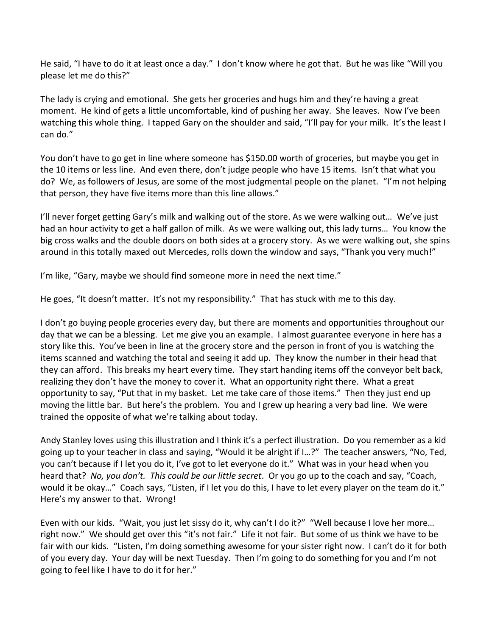He said, "I have to do it at least once a day." I don't know where he got that. But he was like "Will you please let me do this?"

The lady is crying and emotional. She gets her groceries and hugs him and they're having a great moment. He kind of gets a little uncomfortable, kind of pushing her away. She leaves. Now I've been watching this whole thing. I tapped Gary on the shoulder and said, "I'll pay for your milk. It's the least I can do."

You don't have to go get in line where someone has \$150.00 worth of groceries, but maybe you get in the 10 items or less line. And even there, don't judge people who have 15 items. Isn't that what you do? We, as followers of Jesus, are some of the most judgmental people on the planet. "I'm not helping that person, they have five items more than this line allows."

I'll never forget getting Gary's milk and walking out of the store. As we were walking out... We've just had an hour activity to get a half gallon of milk. As we were walking out, this lady turns… You know the big cross walks and the double doors on both sides at a grocery story. As we were walking out, she spins around in this totally maxed out Mercedes, rolls down the window and says, "Thank you very much!"

I'm like, "Gary, maybe we should find someone more in need the next time."

He goes, "It doesn't matter. It's not my responsibility." That has stuck with me to this day.

I don't go buying people groceries every day, but there are moments and opportunities throughout our day that we can be a blessing. Let me give you an example. I almost guarantee everyone in here has a story like this. You've been in line at the grocery store and the person in front of you is watching the items scanned and watching the total and seeing it add up. They know the number in their head that they can afford. This breaks my heart every time. They start handing items off the conveyor belt back, realizing they don't have the money to cover it. What an opportunity right there. What a great opportunity to say, "Put that in my basket. Let me take care of those items." Then they just end up moving the little bar. But here's the problem. You and I grew up hearing a very bad line. We were trained the opposite of what we're talking about today.

Andy Stanley loves using this illustration and I think it's a perfect illustration. Do you remember as a kid going up to your teacher in class and saying, "Would it be alright if I…?" The teacher answers, "No, Ted, you can't because if I let you do it, I've got to let everyone do it." What was in your head when you heard that? *No, you don't. This could be our little secret*. Or you go up to the coach and say, "Coach, would it be okay..." Coach says, "Listen, if I let you do this, I have to let every player on the team do it." Here's my answer to that. Wrong!

Even with our kids. "Wait, you just let sissy do it, why can't I do it?" "Well because I love her more… right now." We should get over this "it's not fair." Life it not fair. But some of us think we have to be fair with our kids. "Listen, I'm doing something awesome for your sister right now. I can't do it for both of you every day. Your day will be next Tuesday. Then I'm going to do something for you and I'm not going to feel like I have to do it for her."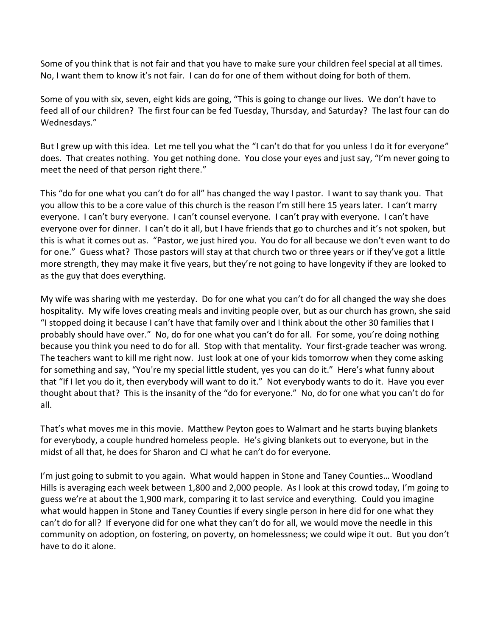Some of you think that is not fair and that you have to make sure your children feel special at all times. No, I want them to know it's not fair. I can do for one of them without doing for both of them.

Some of you with six, seven, eight kids are going, "This is going to change our lives. We don't have to feed all of our children? The first four can be fed Tuesday, Thursday, and Saturday? The last four can do Wednesdays."

But I grew up with this idea. Let me tell you what the "I can't do that for you unless I do it for everyone" does. That creates nothing. You get nothing done. You close your eyes and just say, "I'm never going to meet the need of that person right there."

This "do for one what you can't do for all" has changed the way I pastor. I want to say thank you. That you allow this to be a core value of this church is the reason I'm still here 15 years later. I can't marry everyone. I can't bury everyone. I can't counsel everyone. I can't pray with everyone. I can't have everyone over for dinner. I can't do it all, but I have friends that go to churches and it's not spoken, but this is what it comes out as. "Pastor, we just hired you. You do for all because we don't even want to do for one." Guess what? Those pastors will stay at that church two or three years or if they've got a little more strength, they may make it five years, but they're not going to have longevity if they are looked to as the guy that does everything.

My wife was sharing with me yesterday. Do for one what you can't do for all changed the way she does hospitality. My wife loves creating meals and inviting people over, but as our church has grown, she said "I stopped doing it because I can't have that family over and I think about the other 30 families that I probably should have over." No, do for one what you can't do for all. For some, you're doing nothing because you think you need to do for all. Stop with that mentality. Your first-grade teacher was wrong. The teachers want to kill me right now. Just look at one of your kids tomorrow when they come asking for something and say, "You're my special little student, yes you can do it." Here's what funny about that "If I let you do it, then everybody will want to do it." Not everybody wants to do it. Have you ever thought about that? This is the insanity of the "do for everyone." No, do for one what you can't do for all.

That's what moves me in this movie. Matthew Peyton goes to Walmart and he starts buying blankets for everybody, a couple hundred homeless people. He's giving blankets out to everyone, but in the midst of all that, he does for Sharon and CJ what he can't do for everyone.

I'm just going to submit to you again. What would happen in Stone and Taney Counties… Woodland Hills is averaging each week between 1,800 and 2,000 people. As I look at this crowd today, I'm going to guess we're at about the 1,900 mark, comparing it to last service and everything. Could you imagine what would happen in Stone and Taney Counties if every single person in here did for one what they can't do for all? If everyone did for one what they can't do for all, we would move the needle in this community on adoption, on fostering, on poverty, on homelessness; we could wipe it out. But you don't have to do it alone.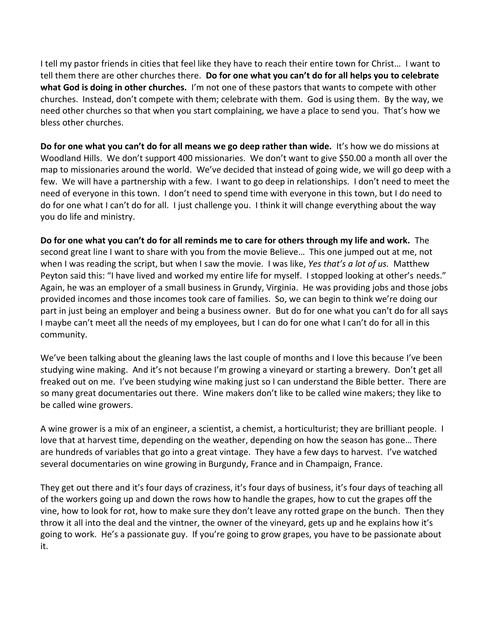I tell my pastor friends in cities that feel like they have to reach their entire town for Christ… I want to tell them there are other churches there. **Do for one what you can't do for all helps you to celebrate what God is doing in other churches.** I'm not one of these pastors that wants to compete with other churches. Instead, don't compete with them; celebrate with them. God is using them. By the way, we need other churches so that when you start complaining, we have a place to send you. That's how we bless other churches.

**Do for one what you can't do for all means we go deep rather than wide.** It's how we do missions at Woodland Hills. We don't support 400 missionaries. We don't want to give \$50.00 a month all over the map to missionaries around the world. We've decided that instead of going wide, we will go deep with a few. We will have a partnership with a few. I want to go deep in relationships. I don't need to meet the need of everyone in this town. I don't need to spend time with everyone in this town, but I do need to do for one what I can't do for all. I just challenge you. I think it will change everything about the way you do life and ministry.

**Do for one what you can't do for all reminds me to care for others through my life and work.** The second great line I want to share with you from the movie Believe… This one jumped out at me, not when I was reading the script, but when I saw the movie. I was like, *Yes that's a lot of us.* Matthew Peyton said this: "I have lived and worked my entire life for myself. I stopped looking at other's needs." Again, he was an employer of a small business in Grundy, Virginia. He was providing jobs and those jobs provided incomes and those incomes took care of families. So, we can begin to think we're doing our part in just being an employer and being a business owner. But do for one what you can't do for all says I maybe can't meet all the needs of my employees, but I can do for one what I can't do for all in this community.

We've been talking about the gleaning laws the last couple of months and I love this because I've been studying wine making. And it's not because I'm growing a vineyard or starting a brewery. Don't get all freaked out on me. I've been studying wine making just so I can understand the Bible better. There are so many great documentaries out there. Wine makers don't like to be called wine makers; they like to be called wine growers.

A wine grower is a mix of an engineer, a scientist, a chemist, a horticulturist; they are brilliant people. I love that at harvest time, depending on the weather, depending on how the season has gone… There are hundreds of variables that go into a great vintage. They have a few days to harvest. I've watched several documentaries on wine growing in Burgundy, France and in Champaign, France.

They get out there and it's four days of craziness, it's four days of business, it's four days of teaching all of the workers going up and down the rows how to handle the grapes, how to cut the grapes off the vine, how to look for rot, how to make sure they don't leave any rotted grape on the bunch. Then they throw it all into the deal and the vintner, the owner of the vineyard, gets up and he explains how it's going to work. He's a passionate guy. If you're going to grow grapes, you have to be passionate about it.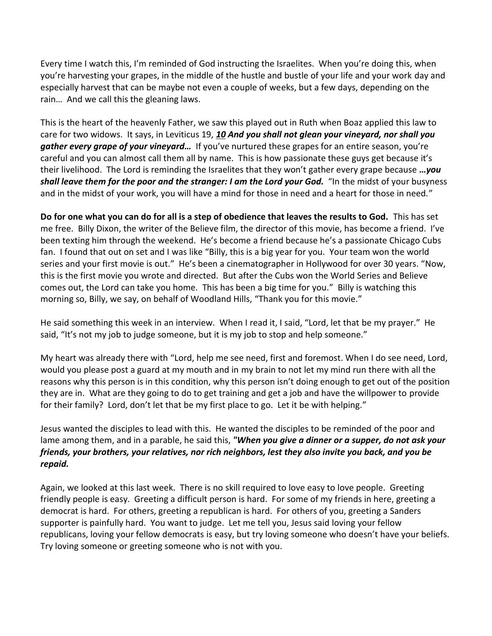Every time I watch this, I'm reminded of God instructing the Israelites. When you're doing this, when you're harvesting your grapes, in the middle of the hustle and bustle of your life and your work day and especially harvest that can be maybe not even a couple of weeks, but a few days, depending on the rain… And we call this the gleaning laws.

This is the heart of the heavenly Father, we saw this played out in Ruth when Boaz applied this law to care for two widows. It says, in Leviticus 19, *[10](http://www.studylight.org/desk/?q=le%2019:10&t1=en_nkj&sr=1) And you shall not glean your vineyard, nor shall you gather every grape of your vineyard…* If you've nurtured these grapes for an entire season, you're careful and you can almost call them all by name. This is how passionate these guys get because it's their livelihood. The Lord is reminding the Israelites that they won't gather every grape because *…you shall leave them for the poor and the stranger: I am the Lord your God.* "In the midst of your busyness and in the midst of your work, you will have a mind for those in need and a heart for those in need."

**Do for one what you can do for all is a step of obedience that leaves the results to God.** This has set me free. Billy Dixon, the writer of the Believe film, the director of this movie, has become a friend. I've been texting him through the weekend. He's become a friend because he's a passionate Chicago Cubs fan. I found that out on set and I was like "Billy, this is a big year for you. Your team won the world series and your first movie is out." He's been a cinematographer in Hollywood for over 30 years. "Now, this is the first movie you wrote and directed. But after the Cubs won the World Series and Believe comes out, the Lord can take you home. This has been a big time for you." Billy is watching this morning so, Billy, we say, on behalf of Woodland Hills, "Thank you for this movie."

He said something this week in an interview. When I read it, I said, "Lord, let that be my prayer." He said, "It's not my job to judge someone, but it is my job to stop and help someone."

My heart was already there with "Lord, help me see need, first and foremost. When I do see need, Lord, would you please post a guard at my mouth and in my brain to not let my mind run there with all the reasons why this person is in this condition, why this person isn't doing enough to get out of the position they are in. What are they going to do to get training and get a job and have the willpower to provide for their family? Lord, don't let that be my first place to go. Let it be with helping."

Jesus wanted the disciples to lead with this. He wanted the disciples to be reminded of the poor and lame among them, and in a parable, he said this, *"When you give a dinner or a supper, do not ask your friends, your brothers, your relatives, nor rich neighbors, lest they also invite you back, and you be repaid.* 

Again, we looked at this last week. There is no skill required to love easy to love people. Greeting friendly people is easy. Greeting a difficult person is hard. For some of my friends in here, greeting a democrat is hard. For others, greeting a republican is hard. For others of you, greeting a Sanders supporter is painfully hard. You want to judge. Let me tell you, Jesus said loving your fellow republicans, loving your fellow democrats is easy, but try loving someone who doesn't have your beliefs. Try loving someone or greeting someone who is not with you.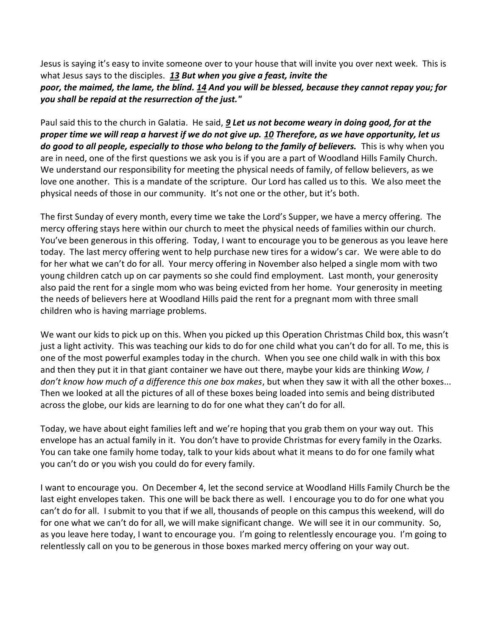Jesus is saying it's easy to invite someone over to your house that will invite you over next week. This is what Jesus says to the disciples. *[13](http://www.studylight.org/desk/?q=lu%2014:13&t1=en_nkj&sr=1) But when you give a feast, invite the poor, the maimed, the lame, the blind[. 14](http://www.studylight.org/desk/?q=lu%2014:14&t1=en_nkj&sr=1) And you will be blessed, because they cannot repay you; for you shall be repaid at the resurrection of the just."*

Paul said this to the church in Galatia. He said, *[9](http://www.studylight.org/desk/?q=ga%206:9&t1=en_niv&sr=1) Let us not become weary in doing good, for at the proper time we will reap a harvest if we do not give up. [10](http://www.studylight.org/desk/?q=ga%206:10&t1=en_niv&sr=1) Therefore, as we have opportunity, let us do good to all people, especially to those who belong to the family of believers.* This is why when you are in need, one of the first questions we ask you is if you are a part of Woodland Hills Family Church. We understand our responsibility for meeting the physical needs of family, of fellow believers, as we love one another. This is a mandate of the scripture. Our Lord has called us to this. We also meet the physical needs of those in our community. It's not one or the other, but it's both.

The first Sunday of every month, every time we take the Lord's Supper, we have a mercy offering. The mercy offering stays here within our church to meet the physical needs of families within our church. You've been generous in this offering. Today, I want to encourage you to be generous as you leave here today. The last mercy offering went to help purchase new tires for a widow's car. We were able to do for her what we can't do for all. Your mercy offering in November also helped a single mom with two young children catch up on car payments so she could find employment. Last month, your generosity also paid the rent for a single mom who was being evicted from her home. Your generosity in meeting the needs of believers here at Woodland Hills paid the rent for a pregnant mom with three small children who is having marriage problems.

We want our kids to pick up on this. When you picked up this Operation Christmas Child box, this wasn't just a light activity. This was teaching our kids to do for one child what you can't do for all. To me, this is one of the most powerful examples today in the church. When you see one child walk in with this box and then they put it in that giant container we have out there, maybe your kids are thinking *Wow, I don't know how much of a difference this one box makes*, but when they saw it with all the other boxes... Then we looked at all the pictures of all of these boxes being loaded into semis and being distributed across the globe, our kids are learning to do for one what they can't do for all.

Today, we have about eight families left and we're hoping that you grab them on your way out. This envelope has an actual family in it. You don't have to provide Christmas for every family in the Ozarks. You can take one family home today, talk to your kids about what it means to do for one family what you can't do or you wish you could do for every family.

I want to encourage you. On December 4, let the second service at Woodland Hills Family Church be the last eight envelopes taken. This one will be back there as well. I encourage you to do for one what you can't do for all. I submit to you that if we all, thousands of people on this campus this weekend, will do for one what we can't do for all, we will make significant change. We will see it in our community. So, as you leave here today, I want to encourage you. I'm going to relentlessly encourage you. I'm going to relentlessly call on you to be generous in those boxes marked mercy offering on your way out.